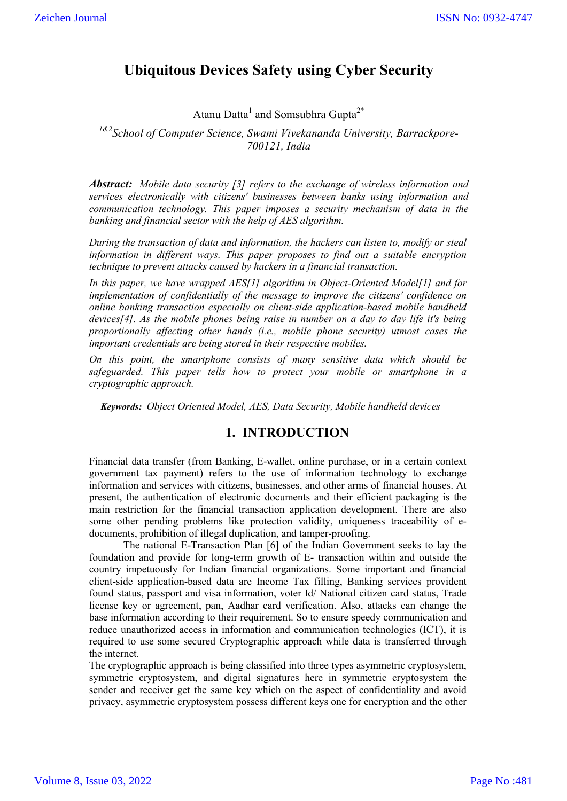# **Ubiquitous Devices Safety using Cyber Security**

Atanu Datta<sup>1</sup> and Somsubhra Gupta<sup>2\*</sup>

*1&2School of Computer Science, Swami Vivekananda University, Barrackpore-700121, India*

*Abstract: Mobile data security [3] refers to the exchange of wireless information and services electronically with citizens' businesses between banks using information and communication technology. This paper imposes a security mechanism of data in the banking and financial sector with the help of AES algorithm.*

*During the transaction of data and information, the hackers can listen to, modify or steal information in different ways. This paper proposes to find out a suitable encryption technique to prevent attacks caused by hackers in a financial transaction.*

*In this paper, we have wrapped AES[1] algorithm in Object-Oriented Model[1] and for implementation of confidentially of the message to improve the citizens' confidence on online banking transaction especially on client-side application-based mobile handheld devices[4]. As the mobile phones being raise in number on a day to day life it's being proportionally affecting other hands (i.e., mobile phone security) utmost cases the important credentials are being stored in their respective mobiles.*

*On this point, the smartphone consists of many sensitive data which should be safeguarded. This paper tells how to protect your mobile or smartphone in a cryptographic approach.*

*Keywords: Object Oriented Model, AES, Data Security, Mobile handheld devices*

# **1. INTRODUCTION**

Financial data transfer (from Banking, E-wallet, online purchase, or in a certain context government tax payment) refers to the use of information technology to exchange information and services with citizens, businesses, and other arms of financial houses. At present, the authentication of electronic documents and their efficient packaging is the main restriction for the financial transaction application development. There are also some other pending problems like protection validity, uniqueness traceability of edocuments, prohibition of illegal duplication, and tamper-proofing.

The national E-Transaction Plan [6] of the Indian Government seeks to lay the foundation and provide for long-term growth of E- transaction within and outside the country impetuously for Indian financial organizations. Some important and financial client-side application-based data are Income Tax filling, Banking services provident found status, passport and visa information, voter Id/ National citizen card status, Trade license key or agreement, pan, Aadhar card verification. Also, attacks can change the base information according to their requirement. So to ensure speedy communication and reduce unauthorized access in information and communication technologies (ICT), it is required to use some secured Cryptographic approach while data is transferred through the internet.

The cryptographic approach is being classified into three types asymmetric cryptosystem, symmetric cryptosystem, and digital signatures here in symmetric cryptosystem the sender and receiver get the same key which on the aspect of confidentiality and avoid privacy, asymmetric cryptosystem possess different keys one for encryption and the other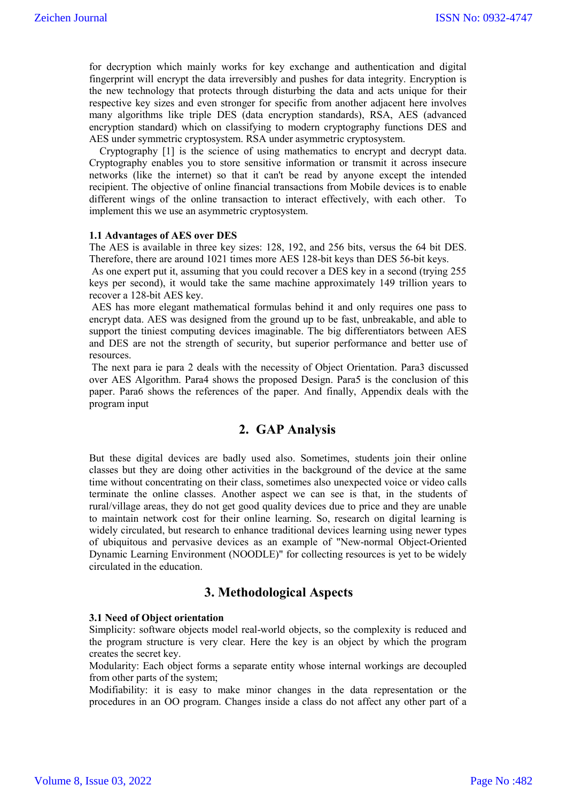for decryption which mainly works for key exchange and authentication and digital fingerprint will encrypt the data irreversibly and pushes for data integrity. Encryption is the new technology that protects through disturbing the data and acts unique for their respective key sizes and even stronger for specific from another adjacent here involves many algorithms like triple DES (data encryption standards), RSA, AES (advanced encryption standard) which on classifying to modern cryptography functions DES and AES under symmetric cryptosystem. RSA under asymmetric cryptosystem.

 Cryptography [1] is the science of using mathematics to encrypt and decrypt data. Cryptography enables you to store sensitive information or transmit it across insecure networks (like the internet) so that it can't be read by anyone except the intended recipient. The objective of online financial transactions from Mobile devices is to enable different wings of the online transaction to interact effectively, with each other. To implement this we use an asymmetric cryptosystem.

#### **1.1 Advantages of AES over DES**

The AES is available in three key sizes: 128, 192, and 256 bits, versus the 64 bit DES. Therefore, there are around 1021 times more AES 128-bit keys than DES 56-bit keys.

As one expert put it, assuming that you could recover a DES key in a second (trying 255 keys per second), it would take the same machine approximately 149 trillion years to recover a 128-bit AES key.

AES has more elegant mathematical formulas behind it and only requires one pass to encrypt data. AES was designed from the ground up to be fast, unbreakable, and able to support the tiniest computing devices imaginable. The big differentiators between AES and DES are not the strength of security, but superior performance and better use of resources.

The next para ie para 2 deals with the necessity of Object Orientation. Para3 discussed over AES Algorithm. Para4 shows the proposed Design. Para5 is the conclusion of this paper. Para6 shows the references of the paper. And finally, Appendix deals with the program input

# **2. GAP Analysis**

But these digital devices are badly used also. Sometimes, students join their online classes but they are doing other activities in the background of the device at the same time without concentrating on their class, sometimes also unexpected voice or video calls terminate the online classes. Another aspect we can see is that, in the students of rural/village areas, they do not get good quality devices due to price and they are unable to maintain network cost for their online learning. So, research on digital learning is widely circulated, but research to enhance traditional devices learning using newer types of ubiquitous and pervasive devices as an example of "New-normal Object-Oriented Dynamic Learning Environment (NOODLE)" for collecting resources is yet to be widely circulated in the education.

# **3. Methodological Aspects**

#### **3.1 Need of Object orientation**

Simplicity: software objects model real-world objects, so the complexity is reduced and the program structure is very clear. Here the key is an object by which the program creates the secret key.

Modularity: Each object forms a separate entity whose internal workings are decoupled from other parts of the system;

Modifiability: it is easy to make minor changes in the data representation or the procedures in an OO program. Changes inside a class do not affect any other part of a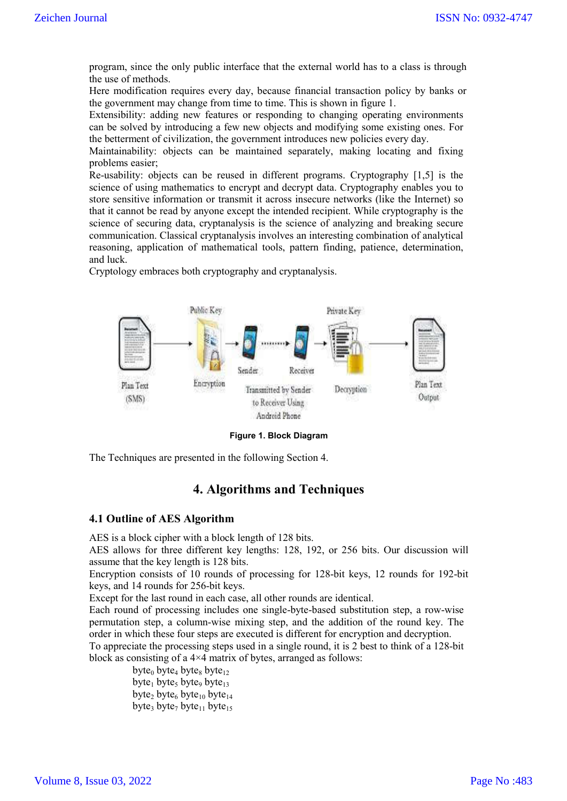program, since the only public interface that the external world has to a class is through the use of methods.

Here modification requires every day, because financial transaction policy by banks or the government may change from time to time. This is shown in figure 1.

Extensibility: adding new features or responding to changing operating environments can be solved by introducing a few new objects and modifying some existing ones. For the betterment of civilization, the government introduces new policies every day.

Maintainability: objects can be maintained separately, making locating and fixing problems easier;

Re-usability: objects can be reused in different programs. Cryptography [1,5] is the science of using mathematics to encrypt and decrypt data. Cryptography enables you to store sensitive information or transmit it across insecure networks (like the Internet) so that it cannot be read by anyone except the intended recipient. While cryptography is the science of securing data, cryptanalysis is the science of analyzing and breaking secure communication. Classical cryptanalysis involves an interesting combination of analytical reasoning, application of mathematical tools, pattern finding, patience, determination, and luck.

Cryptology embraces both cryptography and cryptanalysis.



**Figure 1. Block Diagram**

The Techniques are presented in the following Section 4.

# **4. Algorithms and Techniques**

#### **4.1 Outline of AES Algorithm**

AES is a block cipher with a block length of 128 bits.

AES allows for three different key lengths: 128, 192, or 256 bits. Our discussion will assume that the key length is 128 bits.

Encryption consists of 10 rounds of processing for 128-bit keys, 12 rounds for 192-bit keys, and 14 rounds for 256-bit keys.

Except for the last round in each case, all other rounds are identical.

Each round of processing includes one single-byte-based substitution step, a row-wise permutation step, a column-wise mixing step, and the addition of the round key. The order in which these four steps are executed is different for encryption and decryption.

To appreciate the processing steps used in a single round, it is 2 best to think of a 128-bit block as consisting of a 4×4 matrix of bytes, arranged as follows:

byte<sub>0</sub> byte<sub>4</sub> byte<sub>8</sub> byte<sub>12</sub> byte<sub>1</sub> byte<sub>5</sub> byte<sub>13</sub> byte<sub>2</sub> byte<sub>6</sub> byte<sub>10</sub> byte<sub>14</sub> byte<sub>3</sub> byte<sub>7</sub> byte<sub>11</sub> byte<sub>15</sub>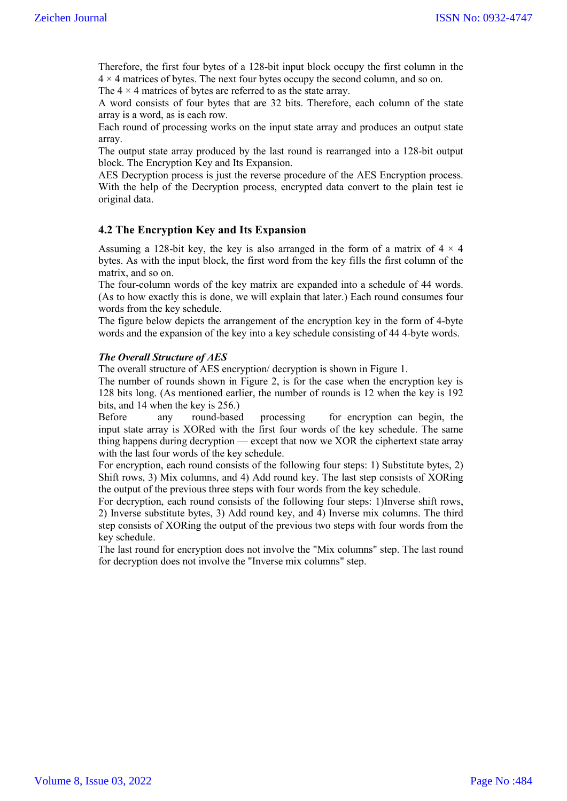Therefore, the first four bytes of a 128-bit input block occupy the first column in the  $4 \times 4$  matrices of bytes. The next four bytes occupy the second column, and so on. The  $4 \times 4$  matrices of bytes are referred to as the state array.

A word consists of four bytes that are 32 bits. Therefore, each column of the state array is a word, as is each row.

Each round of processing works on the input state array and produces an output state array.

The output state array produced by the last round is rearranged into a 128-bit output block. The Encryption Key and Its Expansion.

AES Decryption process is just the reverse procedure of the AES Encryption process. With the help of the Decryption process, encrypted data convert to the plain test ie original data.

### **4.2 The Encryption Key and Its Expansion**

Assuming a 128-bit key, the key is also arranged in the form of a matrix of  $4 \times 4$ bytes. As with the input block, the first word from the key fills the first column of the matrix, and so on.

The four-column words of the key matrix are expanded into a schedule of 44 words. (As to how exactly this is done, we will explain that later.) Each round consumes four words from the key schedule.

The figure below depicts the arrangement of the encryption key in the form of 4-byte words and the expansion of the key into a key schedule consisting of 44 4-byte words.

#### *The Overall Structure of AES*

The overall structure of AES encryption/ decryption is shown in Figure 1.

The number of rounds shown in Figure 2, is for the case when the encryption key is 128 bits long. (As mentioned earlier, the number of rounds is 12 when the key is 192 bits, and 14 when the key is 256.)

Before any round-based processing for encryption can begin, the input state array is XORed with the first four words of the key schedule. The same thing happens during decryption — except that now we XOR the ciphertext state array with the last four words of the key schedule.

For encryption, each round consists of the following four steps: 1) Substitute bytes, 2) Shift rows, 3) Mix columns, and 4) Add round key. The last step consists of XORing the output of the previous three steps with four words from the key schedule.

For decryption, each round consists of the following four steps: 1)Inverse shift rows, 2) Inverse substitute bytes, 3) Add round key, and 4) Inverse mix columns. The third step consists of XORing the output of the previous two steps with four words from the key schedule.

The last round for encryption does not involve the "Mix columns" step. The last round for decryption does not involve the "Inverse mix columns" step.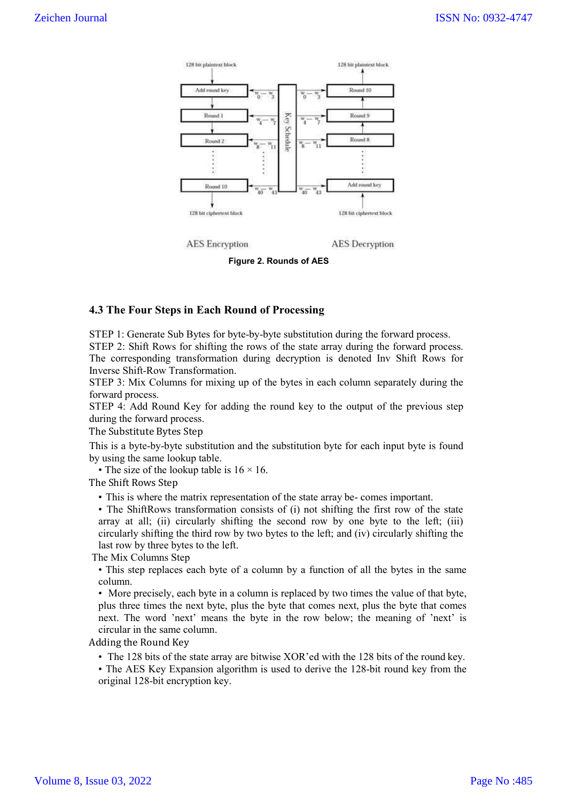

**Figure 2. Rounds of AES**

### **4.3 The Four Steps in Each Round of Processing**

STEP 1: Generate Sub Bytes for byte-by-byte substitution during the forward process.

STEP 2: Shift Rows for shifting the rows of the state array during the forward process. The corresponding transformation during decryption is denoted Inv Shift Rows for Inverse Shift-Row Transformation.

STEP 3: Mix Columns for mixing up of the bytes in each column separately during the forward process.

STEP 4: Add Round Key for adding the round key to the output of the previous step during the forward process.

The Substitute Bytes Step

This is a byte-by-byte substitution and the substitution byte for each input byte is found by using the same lookup table.

• The size of the lookup table is  $16 \times 16$ .

The Shift Rows Step

• This is where the matrix representation of the state array be- comes important.

• The ShiftRows transformation consists of (i) not shifting the first row of the state array at all; (ii) circularly shifting the second row by one byte to the left; (iii) circularly shifting the third row by two bytes to the left; and (iv) circularly shifting the last row by three bytes to the left.

The Mix Columns Step

• This step replaces each byte of a column by a function of all the bytes in the same column.

• More precisely, each byte in a column is replaced by two times the value of that byte, plus three times the next byte, plus the byte that comes next, plus the byte that comes next. The word 'next' means the byte in the row below; the meaning of 'next' is circular in the same column.

Adding the Round Key

• The 128 bits of the state array are bitwise XOR'ed with the 128 bits of the round key.

• The AES Key Expansion algorithm is used to derive the 128-bit round key from the original 128-bit encryption key.